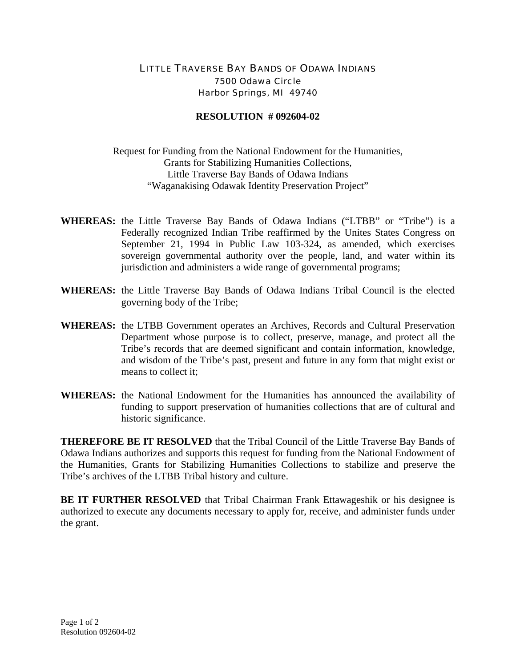## LITTLE TRAVERSE BAY BANDS OF ODAWA INDIANS 7500 Odawa Circle Harbor Springs, MI 49740

## **RESOLUTION # 092604-02**

Request for Funding from the National Endowment for the Humanities, Grants for Stabilizing Humanities Collections, Little Traverse Bay Bands of Odawa Indians "Waganakising Odawak Identity Preservation Project"

- **WHEREAS:** the Little Traverse Bay Bands of Odawa Indians ("LTBB" or "Tribe") is a Federally recognized Indian Tribe reaffirmed by the Unites States Congress on September 21, 1994 in Public Law 103-324, as amended, which exercises sovereign governmental authority over the people, land, and water within its jurisdiction and administers a wide range of governmental programs;
- **WHEREAS:** the Little Traverse Bay Bands of Odawa Indians Tribal Council is the elected governing body of the Tribe;
- **WHEREAS:** the LTBB Government operates an Archives, Records and Cultural Preservation Department whose purpose is to collect, preserve, manage, and protect all the Tribe's records that are deemed significant and contain information, knowledge, and wisdom of the Tribe's past, present and future in any form that might exist or means to collect it;
- **WHEREAS:** the National Endowment for the Humanities has announced the availability of funding to support preservation of humanities collections that are of cultural and historic significance.

**THEREFORE BE IT RESOLVED** that the Tribal Council of the Little Traverse Bay Bands of Odawa Indians authorizes and supports this request for funding from the National Endowment of the Humanities, Grants for Stabilizing Humanities Collections to stabilize and preserve the Tribe's archives of the LTBB Tribal history and culture.

**BE IT FURTHER RESOLVED** that Tribal Chairman Frank Ettawageshik or his designee is authorized to execute any documents necessary to apply for, receive, and administer funds under the grant.